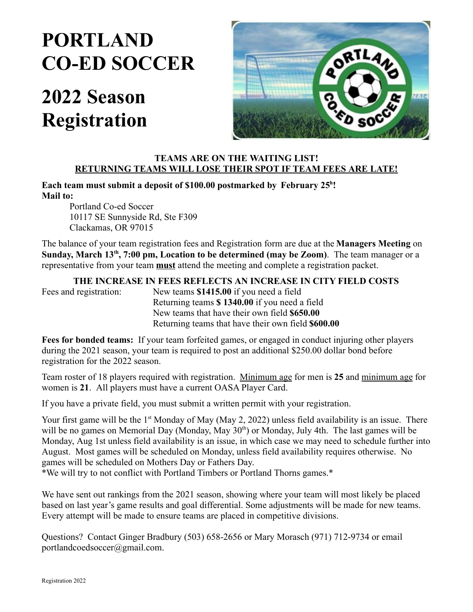# **2022 Season Registration**



#### **TEAMS ARE ON THE WAITING LIST! RETURNING TEAMS WILL LOSE THEIR SPOT IF TEAM FEES ARE LATE!**

**Each team must submit a deposit of \$100.00 postmarked by February 25<sup>h</sup> ! Mail to:**

Portland Co-ed Soccer 10117 SE Sunnyside Rd, Ste F309 Clackamas, OR 97015

The balance of your team registration fees and Registration form are due at the **Managers Meeting** on **Sunday, March 13th , 7:00 pm, Location to be determined (may be Zoom)**. The team manager or a representative from your team **must** attend the meeting and complete a registration packet.

**THE INCREASE IN FEES REFLECTS AN INCREASE IN CITY FIELD COSTS**

Fees and registration: New teams **\$1415.00** if you need a field Returning teams **\$ 1340.00** if you need a field New teams that have their own field **\$650.00** Returning teams that have their own field **\$600.00**

**Fees for bonded teams:** If your team forfeited games, or engaged in conduct injuring other players during the 2021 season, your team is required to post an additional \$250.00 dollar bond before registration for the 2022 season.

Team roster of 18 players required with registration. Minimum age for men is **25** and minimum age for women is **21**. All players must have a current OASA Player Card.

If you have a private field, you must submit a written permit with your registration.

Your first game will be the 1<sup>st</sup> Monday of May (May 2, 2022) unless field availability is an issue. There will be no games on Memorial Day (Monday, May  $30<sup>th</sup>$ ) or Monday, July 4th. The last games will be Monday, Aug 1st unless field availability is an issue, in which case we may need to schedule further into August. Most games will be scheduled on Monday, unless field availability requires otherwise. No games will be scheduled on Mothers Day or Fathers Day.

\*We will try to not conflict with Portland Timbers or Portland Thorns games.\*

We have sent out rankings from the 2021 season, showing where your team will most likely be placed based on last year's game results and goal differential. Some adjustments will be made for new teams. Every attempt will be made to ensure teams are placed in competitive divisions.

Questions? Contact Ginger Bradbury (503) 658-2656 or Mary Morasch (971) 712-9734 or email portlandcoedsoccer@gmail.com.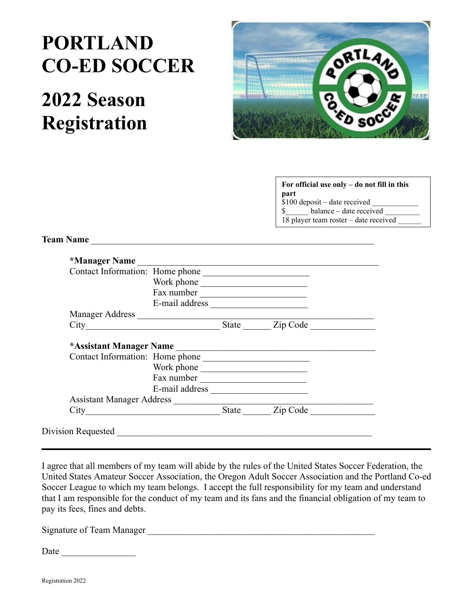## **2022 Season Registration**



**For official use only – do not fill in this part**  $$100$  deposit – date received \$\_\_\_\_\_\_ balance – date received \_\_\_\_\_\_\_\_\_ 18 player team roster – date received

#### **Team Name**

|                                 | Work phone     |                |  |
|---------------------------------|----------------|----------------|--|
|                                 |                |                |  |
|                                 | E-mail address |                |  |
|                                 |                |                |  |
|                                 |                |                |  |
|                                 |                | State Zip Code |  |
| City<br>*Assistant Manager Name |                |                |  |
|                                 |                |                |  |
|                                 |                |                |  |
|                                 | Fax number     |                |  |
|                                 | E-mail address |                |  |

I agree that all members of my team will abide by the rules of the United States Soccer Federation, the United States Amateur Soccer Association, the Oregon Adult Soccer Association and the Portland Co-ed Soccer League to which my team belongs. I accept the full responsibility for my team and understand that I am responsible for the conduct of my team and its fans and the financial obligation of my team to pay its fees, fines and debts.

Signature of Team Manager \_\_\_\_\_\_\_\_\_\_\_\_\_\_\_\_\_\_\_\_\_\_\_\_\_\_\_\_\_\_\_\_\_\_\_\_\_\_\_\_\_\_\_\_\_\_\_\_\_

Date \_\_\_\_\_\_\_\_\_\_\_\_\_\_\_\_

Registration 2022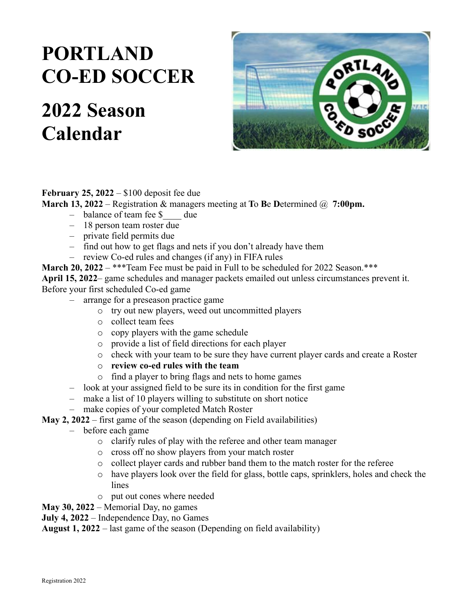#### **2022 Season Calendar**



#### **February 25, 2022** – \$100 deposit fee due

**March 13, 2022** – Registration & managers meeting at **T**o **B**e **D**etermined @ **7:00pm.**

- balance of team fee \$\_\_\_\_ due
- 18 person team roster due
- private field permits due
- find out how to get flags and nets if you don't already have them
- review Co-ed rules and changes (if any) in FIFA rules
- **March 20, 2022** \*\*\*Team Fee must be paid in Full to be scheduled for 2022 Season.\*\*\*

**April 15, 2022**– game schedules and manager packets emailed out unless circumstances prevent it. Before your first scheduled Co-ed game

- arrange for a preseason practice game
	- o try out new players, weed out uncommitted players
	- o collect team fees
	- o copy players with the game schedule
	- o provide a list of field directions for each player
	- o check with your team to be sure they have current player cards and create a Roster
	- o **review co-ed rules with the team**
	- o find a player to bring flags and nets to home games
- look at your assigned field to be sure its in condition for the first game
- make a list of 10 players willing to substitute on short notice
- make copies of your completed Match Roster
- **May 2, 2022** first game of the season (depending on Field availabilities)
	- before each game
		- o clarify rules of play with the referee and other team manager
		- o cross off no show players from your match roster
		- o collect player cards and rubber band them to the match roster for the referee
		- o have players look over the field for glass, bottle caps, sprinklers, holes and check the lines
		- o put out cones where needed
- **May 30, 2022** Memorial Day, no games
- **July 4, 2022** Independence Day, no Games

**August 1, 2022** – last game of the season (Depending on field availability)